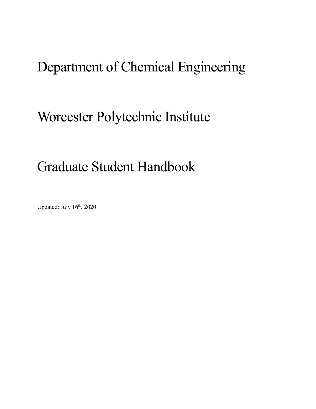# Department of Chemical Engineering

# Worcester Polytechnic Institute

# Graduate Student Handbook

Updated: July 16<sup>th</sup>, 2020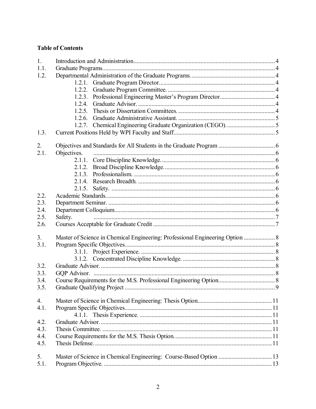### **Table of Contents**

| 1.   |             |                                                                               |  |
|------|-------------|-------------------------------------------------------------------------------|--|
| 1.1. |             |                                                                               |  |
| 1.2. |             |                                                                               |  |
|      | 1.2.1.      |                                                                               |  |
|      | 1.2.2.      |                                                                               |  |
|      | 1.2.3.      |                                                                               |  |
|      | 1.2.4.      |                                                                               |  |
|      | 1.2.5.      |                                                                               |  |
|      | 1.2.6.      |                                                                               |  |
|      | 1.2.7.      |                                                                               |  |
| 1.3. |             |                                                                               |  |
| 2.   |             |                                                                               |  |
| 2.1. | Objectives. |                                                                               |  |
|      | 2.1.1.      |                                                                               |  |
|      |             |                                                                               |  |
|      | 2.1.2.      |                                                                               |  |
|      |             |                                                                               |  |
|      | 2.1.4.      |                                                                               |  |
|      | 2.1.5.      |                                                                               |  |
| 2.2. |             |                                                                               |  |
| 2.3. |             |                                                                               |  |
| 2.4. |             |                                                                               |  |
| 2.5. | Safety.     |                                                                               |  |
| 2.6. |             |                                                                               |  |
| 3.   |             | Master of Science in Chemical Engineering: Professional Engineering Option  8 |  |
| 3.1. |             |                                                                               |  |
|      |             |                                                                               |  |
|      |             |                                                                               |  |
| 3.2. |             |                                                                               |  |
| 3.3. |             |                                                                               |  |
| 3.4. |             |                                                                               |  |
| 3.5. |             |                                                                               |  |
|      |             |                                                                               |  |
| 4.   |             |                                                                               |  |
| 4.1. |             |                                                                               |  |
| 4.2. |             |                                                                               |  |
| 4.3. |             |                                                                               |  |
| 4.4. |             |                                                                               |  |
| 4.5. |             |                                                                               |  |
|      |             |                                                                               |  |
| 5.   |             |                                                                               |  |
| 5.1. |             |                                                                               |  |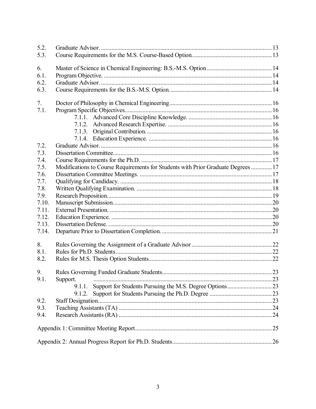| 5.2.  |                                                                                   |  |  |
|-------|-----------------------------------------------------------------------------------|--|--|
| 5.3.  |                                                                                   |  |  |
|       |                                                                                   |  |  |
| 6.    |                                                                                   |  |  |
| 6.1.  |                                                                                   |  |  |
| 6.2.  |                                                                                   |  |  |
| 6.3.  |                                                                                   |  |  |
| 7.    |                                                                                   |  |  |
| 7.1.  |                                                                                   |  |  |
|       |                                                                                   |  |  |
|       | 7.1.2.                                                                            |  |  |
|       | 7.1.3.                                                                            |  |  |
|       |                                                                                   |  |  |
| 7.2.  |                                                                                   |  |  |
| 7.3.  |                                                                                   |  |  |
| 7.4.  |                                                                                   |  |  |
| 7.5.  | Modifications to Course Requirements for Students with Prior Graduate Degrees  17 |  |  |
| 7.6.  |                                                                                   |  |  |
| 7.7.  |                                                                                   |  |  |
| 7.8.  |                                                                                   |  |  |
| 7.9.  |                                                                                   |  |  |
| 7.10. |                                                                                   |  |  |
| 7.11. |                                                                                   |  |  |
| 7.12. |                                                                                   |  |  |
| 7.13. |                                                                                   |  |  |
| 7.14. |                                                                                   |  |  |
|       |                                                                                   |  |  |
| 8.    |                                                                                   |  |  |
| 8.1.  |                                                                                   |  |  |
| 8.2.  |                                                                                   |  |  |
| 9.    |                                                                                   |  |  |
| 9.1.  | Support.                                                                          |  |  |
|       | 9.1.1.                                                                            |  |  |
|       | 9.1.2.                                                                            |  |  |
| 9.2.  |                                                                                   |  |  |
| 9.3.  |                                                                                   |  |  |
| 9.4.  |                                                                                   |  |  |
|       |                                                                                   |  |  |
|       |                                                                                   |  |  |
|       |                                                                                   |  |  |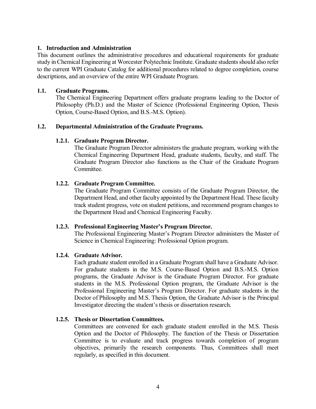#### <span id="page-3-0"></span>**1. Introduction and Administration**

This document outlines the administrative procedures and educational requirements for graduate study in Chemical Engineering at Worcester Polytechnic Institute. Graduate students should also refer to the current WPI Graduate Catalog for additional procedures related to degree completion, course descriptions, and an overview of the entire WPI Graduate Program.

#### <span id="page-3-1"></span>**1.1. Graduate Programs.**

The Chemical Engineering Department offers graduate programs leading to the Doctor of Philosophy (Ph.D.) and the Master of Science (Professional Engineering Option, Thesis Option, Course-Based Option, and B.S.-M.S. Option).

#### <span id="page-3-3"></span><span id="page-3-2"></span>**1.2. Departmental Administration of the Graduate Programs.**

#### **1.2.1. Graduate Program Director.**

The Graduate Program Director administers the graduate program, working with the Chemical Engineering Department Head, graduate students, faculty, and staff. The Graduate Program Director also functions as the Chair of the Graduate Program Committee.

#### <span id="page-3-4"></span>**1.2.2. Graduate Program Committee.**

The Graduate Program Committee consists of the Graduate Program Director, the Department Head, and other faculty appointed by the Department Head. These faculty track student progress, vote on student petitions, and recommend program changes to the Department Head and Chemical Engineering Faculty.

#### <span id="page-3-5"></span>**1.2.3. Professional Engineering Master's Program Director.**

The Professional Engineering Master's Program Director administers the Master of Science in Chemical Engineering: Professional Option program.

#### <span id="page-3-6"></span>**1.2.4. Graduate Advisor.**

Each graduate student enrolled in a Graduate Program shall have a Graduate Advisor. For graduate students in the M.S. Course-Based Option and B.S.-M.S. Option programs, the Graduate Advisor is the Graduate Program Director. For graduate students in the M.S. Professional Option program, the Graduate Advisor is the Professional Engineering Master's Program Director. For graduate students in the Doctor of Philosophy and M.S. Thesis Option, the Graduate Advisor is the Principal Investigator directing the student's thesis or dissertation research.

#### <span id="page-3-7"></span>**1.2.5. Thesis or Dissertation Committees.**

Committees are convened for each graduate student enrolled in the M.S. Thesis Option and the Doctor of Philosophy. The function of the Thesis or Dissertation Committee is to evaluate and track progress towards completion of program objectives, primarily the research components. Thus, Committees shall meet regularly, as specified in this document.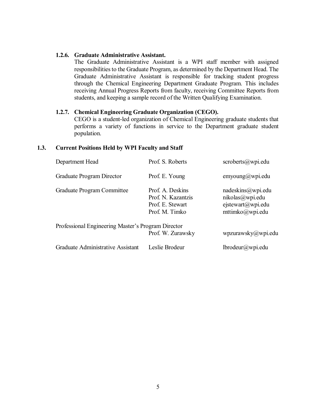#### <span id="page-4-0"></span>**1.2.6. Graduate Administrative Assistant.**

The Graduate Administrative Assistant is a WPI staff member with assigned responsibilities to the Graduate Program, as determined by the Department Head. The Graduate Administrative Assistant is responsible for tracking student progress through the Chemical Engineering Department Graduate Program. This includes receiving Annual Progress Reports from faculty, receiving Committee Reports from students, and keeping a sample record of the Written Qualifying Examination.

#### <span id="page-4-1"></span>**1.2.7. Chemical Engineering Graduate Organization (CEGO).**

CEGO is a student-led organization of Chemical Engineering graduate students that performs a variety of functions in service to the Department graduate student population.

#### <span id="page-4-2"></span>**1.3. Current Positions Held by WPI Faculty and Staff**

| Department Head                                    | Prof. S. Roberts                                                             | $scroberts@wp$ <sub>i.</sub> edu                                             |
|----------------------------------------------------|------------------------------------------------------------------------------|------------------------------------------------------------------------------|
| Graduate Program Director                          | Prof. E. Young                                                               | emyoung@wpi.edu                                                              |
| Graduate Program Committee                         | Prof. A. Deskins<br>Prof. N. Kazantzis<br>Prof. E. Stewart<br>Prof. M. Timko | nadeskins@wpi.edu<br>nikolas@wpi.edu<br>ejstewart@wpi.edu<br>mttimko@wpi.edu |
| Professional Engineering Master's Program Director | Prof. W. Zurawsky                                                            | wpzurawsky@wpi.edu                                                           |
| Graduate Administrative Assistant                  | Leslie Brodeur                                                               | lbrodeur@wpi.edu                                                             |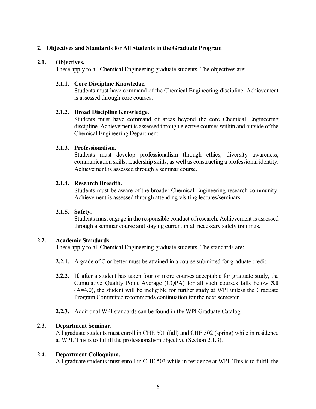#### <span id="page-5-0"></span>**2. Objectives and Standards for All Students in the Graduate Program**

#### <span id="page-5-1"></span>**2.1. Objectives.**

These apply to all Chemical Engineering graduate students. The objectives are:

#### <span id="page-5-2"></span>**2.1.1. Core Discipline Knowledge.**

Students must have command of the Chemical Engineering discipline. Achievement is assessed through core courses.

#### <span id="page-5-3"></span>**2.1.2. Broad Discipline Knowledge.**

Students must have command of areas beyond the core Chemical Engineering discipline. Achievement is assessed through elective courses within and outside of the Chemical Engineering Department.

#### <span id="page-5-4"></span>**2.1.3. Professionalism.**

Students must develop professionalism through ethics, diversity awareness, communication skills, leadership skills, as well as constructing a professional identity. Achievement is assessed through a seminar course.

#### <span id="page-5-5"></span>**2.1.4. Research Breadth.**

Students must be aware of the broader Chemical Engineering research community. Achievement is assessed through attending visiting lectures/seminars.

### <span id="page-5-6"></span>**2.1.5. Safety.**

Students must engage in the responsible conduct of research. Achievement is assessed through a seminar course and staying current in all necessary safety trainings.

#### <span id="page-5-7"></span>**2.2. Academic Standards.**

These apply to all Chemical Engineering graduate students. The standards are:

- **2.2.1.** A grade of C or better must be attained in a course submitted for graduate credit.
- **2.2.2.** If, after a student has taken four or more courses acceptable for graduate study, the Cumulative Quality Point Average (CQPA) for all such courses falls below **3.0** (A=4.0), the student will be ineligible for further study at WPI unless the Graduate Program Committee recommends continuation for the next semester.
- **2.2.3.** Additional WPI standards can be found in the WPI Graduate Catalog.

#### <span id="page-5-8"></span>**2.3. Department Seminar.**

All graduate students must enroll in CHE 501 (fall) and CHE 502 (spring) while in residence at WPI. This is to fulfill the professionalism objective (Section 2.1.3).

#### <span id="page-5-9"></span>**2.4. Department Colloquium.**

All graduate students must enroll in CHE 503 while in residence at WPI. This is to fulfill the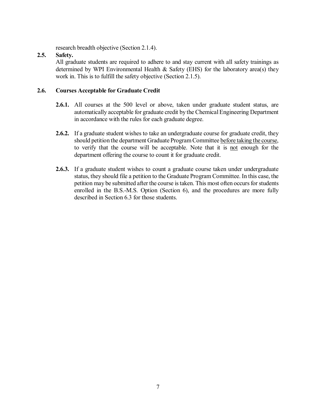research breadth objective (Section 2.1.4).

#### <span id="page-6-0"></span>**2.5. Safety.**

All graduate students are required to adhere to and stay current with all safety trainings as determined by WPI Environmental Health & Safety (EHS) for the laboratory area(s) they work in. This is to fulfill the safety objective (Section 2.1.5).

#### <span id="page-6-1"></span>**2.6. Courses Acceptable for Graduate Credit**

- **2.6.1.** All courses at the 500 level or above, taken under graduate student status, are automatically acceptable for graduate credit by the Chemical Engineering Department in accordance with the rules for each graduate degree.
- **2.6.2.** If a graduate student wishes to take an undergraduate course for graduate credit, they should petition the department Graduate ProgramCommittee before taking the course, to verify that the course will be acceptable. Note that it is not enough for the department offering the course to count it for graduate credit.
- **2.6.3.** If a graduate student wishes to count a graduate course taken under undergraduate status, they should file a petition to the Graduate Program Committee. In this case, the petition may be submitted after the course is taken. This most often occurs for students enrolled in the B.S.-M.S. Option (Section 6), and the procedures are more fully described in Section 6.3 for those students.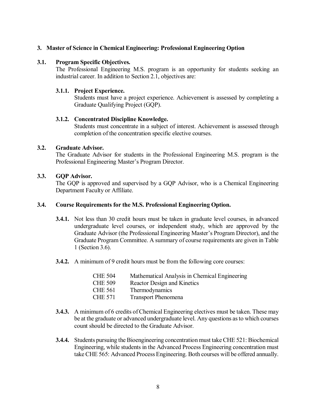#### <span id="page-7-0"></span>**3. Master of Science in Chemical Engineering: Professional Engineering Option**

#### <span id="page-7-1"></span>**3.1. Program Specific Objectives.**

The Professional Engineering M.S. program is an opportunity for students seeking an industrial career. In addition to Section 2.1, objectives are:

#### <span id="page-7-2"></span>**3.1.1. Project Experience.**

Students must have a project experience. Achievement is assessed by completing a Graduate Qualifying Project (GQP).

#### <span id="page-7-3"></span>**3.1.2. Concentrated Discipline Knowledge.**

Students must concentrate in a subject of interest. Achievement is assessed through completion of the concentration specific elective courses.

#### <span id="page-7-4"></span>**3.2. Graduate Advisor.**

The Graduate Advisor for students in the Professional Engineering M.S. program is the Professional Engineering Master's Program Director.

#### <span id="page-7-5"></span>**3.3. GQP Advisor.**

The GQP is approved and supervised by a GQP Advisor, who is a Chemical Engineering Department Faculty or Affiliate.

#### <span id="page-7-6"></span>**3.4. Course Requirements for the M.S. Professional Engineering Option.**

- **3.4.1.** Not less than 30 credit hours must be taken in graduate level courses, in advanced undergraduate level courses, or independent study, which are approved by the Graduate Advisor (the Professional Engineering Master's Program Director), and the Graduate Program Committee. A summary of course requirements are given in Table 1 (Section 3.6).
- **3.4.2.** A minimum of 9 credit hours must be from the following core courses:

| Mathematical Analysis in Chemical Engineering |
|-----------------------------------------------|
| Reactor Design and Kinetics                   |
| Thermodynamics                                |
| <b>Transport Phenomena</b>                    |
|                                               |

- **3.4.3.** A minimum of 6 credits of Chemical Engineering electives must be taken. These may be at the graduate or advanced undergraduate level. Any questions as to which courses count should be directed to the Graduate Advisor.
- **3.4.4.** Students pursuing the Bioengineering concentration must take CHE 521: Biochemical Engineering, while students in the Advanced Process Engineering concentration must take CHE 565: Advanced Process Engineering. Both courses will be offered annually.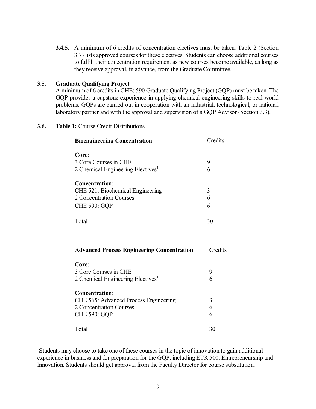**3.4.5.** A minimum of 6 credits of concentration electives must be taken. Table 2 (Section 3.7) lists approved courses for these electives. Students can choose additional courses to fulfill their concentration requirement as new courses become available, as long as they receive approval, in advance, from the Graduate Committee.

#### <span id="page-8-0"></span>**3.5. Graduate Qualifying Project**

A minimum of 6 credits in CHE: 590 Graduate Qualifying Project (GQP) must be taken. The GQP provides a capstone experience in applying chemical engineering skills to real-world problems. GQPs are carried out in cooperation with an industrial, technological, or national laboratory partner and with the approval and supervision of a GQP Advisor (Section 3.3).

#### **3.6. Table 1:** Course Credit Distributions

| <b>Bioengineering Concentration</b>           | Credits |
|-----------------------------------------------|---------|
|                                               |         |
| Core:                                         |         |
| 3 Core Courses in CHE                         | 9       |
| 2 Chemical Engineering Electives <sup>1</sup> |         |
|                                               |         |
| <b>Concentration:</b>                         |         |
| CHE 521: Biochemical Engineering              | 3       |
| 2 Concentration Courses                       | 6       |
| <b>CHE 590: GQP</b>                           | 6       |
|                                               |         |
| Total                                         | 30      |

| <b>Advanced Process Engineering Concentration</b> | Credits |
|---------------------------------------------------|---------|
| Core:<br>3 Core Courses in CHE                    | 9       |
| 2 Chemical Engineering Electives <sup>1</sup>     | 6       |
| <b>Concentration:</b>                             |         |
| CHE 565: Advanced Process Engineering             | 3       |
| 2 Concentration Courses                           | 6       |
| <b>CHE 590: GQP</b>                               |         |
|                                                   |         |
| Total                                             | 30      |

<sup>1</sup>Students may choose to take one of these courses in the topic of innovation to gain additional experience in business and for preparation for the GQP, including ETR 500. Entrepreneurship and Innovation. Students should get approval from the Faculty Director for course substitution.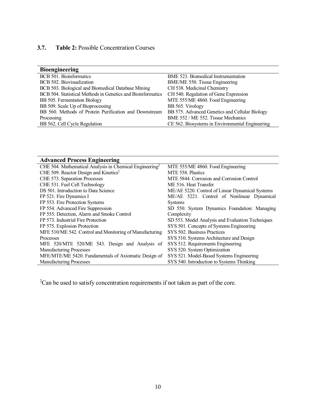### **3.7. Table 2:** Possible Concentration Courses

| <b>Bioengineering</b>                                       |                                                 |
|-------------------------------------------------------------|-------------------------------------------------|
| BCB 501. Bioinformatics                                     | BME 523. Biomedical Instrumentation             |
| BCB 502. Biovisualization                                   | BME/ME 550. Tissue Engineering                  |
| BCB 503. Biological and Biomedical Database Mining          | CH 538. Medicinal Chemistry                     |
| BCB 504. Statistical Methods in Genetics and Bioinformatics | CH 540. Regulation of Gene Expression           |
| BB 505. Fermentation Biology                                | MTE 555/ME 4860. Food Engineering               |
| BB 509. Scale Up of Bioprocessing                           | BB 565. Virology                                |
| BB 560. Methods of Protein Purification and Downstream      | BB 575. Advanced Genetics and Cellular Biology  |
| Processing                                                  | BME 552 / ME 552. Tissue Mechanics              |
| BB 562. Cell Cycle Regulation                               | CE 562. Biosystems in Environmental Engineering |

| <b>Advanced Process Engineering</b>                                 |                                                  |  |  |
|---------------------------------------------------------------------|--------------------------------------------------|--|--|
| CHE 504. Mathematical Analysis in Chemical Engineering <sup>2</sup> | MTE 555/ME 4860. Food Engineering                |  |  |
| CHE 509. Reactor Design and Kinetics <sup>2</sup>                   | MTE 558. Plastics                                |  |  |
| CHE 573. Separation Processes                                       | MTE 5844. Corrosion and Corrosion Control        |  |  |
| CHE 531. Fuel Cell Technology                                       | ME 516. Heat Transfer                            |  |  |
| DS 501. Introduction to Data Science                                | ME/AE 5220. Control of Linear Dynamical Systems  |  |  |
| FP 521. Fire Dynamics I                                             | ME/AE 5221. Control of Nonlinear Dynamical       |  |  |
| FP 553. Fire Protection Systems                                     | <b>Systems</b>                                   |  |  |
| FP 554. Advanced Fire Suppression                                   | SD 550. System Dynamics Foundation: Managing     |  |  |
| FP 555. Detection, Alarm and Smoke Control                          | Complexity                                       |  |  |
| FP 573. Industrial Fire Protection                                  | SD 553. Model Analysis and Evaluation Techniques |  |  |
| FP 575. Explosion Protection                                        | SYS 501. Concepts of Systems Engineering         |  |  |
| MFE 510/ME 542. Control and Monitoring of Manufacturing             | SYS 502. Business Practices                      |  |  |
| Processes                                                           | SYS 510. Systems Architecture and Design         |  |  |
| MFE 520/MTE 520/ME 543. Design and Analysis of                      | SYS 512. Requirements Engineering                |  |  |
| <b>Manufacturing Processes</b>                                      | SYS 520. System Optimization                     |  |  |
| MFE/MTE/ME 5420. Fundamentals of Axiomatic Design of                | SYS 521. Model-Based Systems Engineering         |  |  |
| <b>Manufacturing Processes</b>                                      | SYS 540. Introduction to Systems Thinking        |  |  |

 $2$ Can be used to satisfy concentration requirements if not taken as part of the core.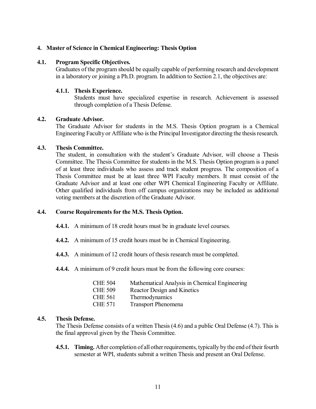#### <span id="page-10-0"></span>**4. Master of Science in Chemical Engineering: Thesis Option**

#### <span id="page-10-1"></span>**4.1. Program Specific Objectives.**

Graduates of the program should be equally capable of performing research and development in a laboratory or joining a Ph.D. program. In addition to Section 2.1, the objectives are:

#### <span id="page-10-2"></span>**4.1.1. Thesis Experience.**

Students must have specialized expertise in research. Achievement is assessed through completion of a Thesis Defense.

#### <span id="page-10-3"></span>**4.2. Graduate Advisor.**

The Graduate Advisor for students in the M.S. Thesis Option program is a Chemical Engineering Faculty or Affiliate who is the Principal Investigator directing the thesis research.

#### <span id="page-10-4"></span>**4.3. Thesis Committee.**

The student, in consultation with the student's Graduate Advisor, will choose a Thesis Committee. The Thesis Committee for students in the M.S. Thesis Option program is a panel of at least three individuals who assess and track student progress. The composition of a Thesis Committee must be at least three WPI Faculty members. It must consist of the Graduate Advisor and at least one other WPI Chemical Engineering Faculty or Affiliate. Other qualified individuals from off campus organizations may be included as additional voting members at the discretion of the Graduate Advisor.

#### <span id="page-10-5"></span>**4.4. Course Requirements for the M.S. Thesis Option.**

- **4.4.1.** A minimum of 18 credit hours must be in graduate level courses.
- **4.4.2.** A minimum of 15 credit hours must be in Chemical Engineering.
- **4.4.3.** A minimum of 12 credit hours of thesis research must be completed.
- **4.4.4.** A minimum of 9 credit hours must be from the following core courses:

| <b>CHE 504</b> | Mathematical Analysis in Chemical Engineering |
|----------------|-----------------------------------------------|
| <b>CHE 509</b> | Reactor Design and Kinetics                   |
| <b>CHE 561</b> | <b>Thermodynamics</b>                         |
| <b>CHE 571</b> | <b>Transport Phenomena</b>                    |

#### <span id="page-10-6"></span>**4.5. Thesis Defense.**

The Thesis Defense consists of a written Thesis (4.6) and a public Oral Defense (4.7). This is the final approval given by the Thesis Committee.

**4.5.1. Timing.** After completion of all other requirements, typically by the end of their fourth semester at WPI, students submit a written Thesis and present an Oral Defense.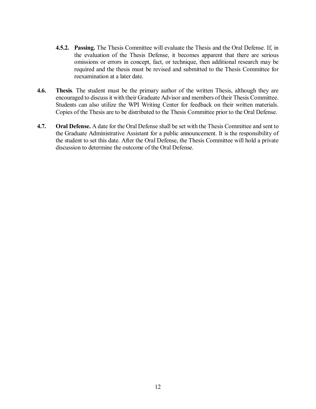- **4.5.2. Passing.** The Thesis Committee will evaluate the Thesis and the Oral Defense. If, in the evaluation of the Thesis Defense, it becomes apparent that there are serious omissions or errors in concept, fact, or technique, then additional research may be required and the thesis must be revised and submitted to the Thesis Committee for reexamination at a later date.
- **4.6. Thesis**. The student must be the primary author of the written Thesis, although they are encouraged to discuss it with their Graduate Advisor and members of their Thesis Committee. Students can also utilize the WPI Writing Center for feedback on their written materials. Copies of the Thesis are to be distributed to the Thesis Committee prior to the Oral Defense.
- **4.7. Oral Defense.** A date for the Oral Defense shall be set with the Thesis Committee and sent to the Graduate Administrative Assistant for a public announcement. It is the responsibility of the student to set this date. After the Oral Defense, the Thesis Committee will hold a private discussion to determine the outcome of the Oral Defense.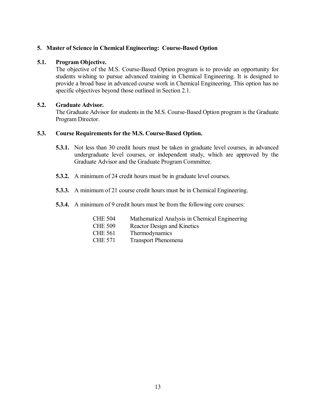#### <span id="page-12-0"></span>**5. Master of Science in Chemical Engineering: Course-Based Option**

#### <span id="page-12-1"></span>**5.1. Program Objective.**

The objective of the M.S. Course-Based Option program is to provide an opportunity for students wishing to pursue advanced training in Chemical Engineering. It is designed to provide a broad base in advanced course work in Chemical Engineering. This option has no specific objectives beyond those outlined in Section 2.1.

#### <span id="page-12-2"></span>**5.2. Graduate Advisor.**

The Graduate Advisor for students in the M.S. Course-Based Option program is the Graduate Program Director.

#### <span id="page-12-3"></span>**5.3. Course Requirements for the M.S. Course-Based Option.**

- **5.3.1.** Not less than 30 credit hours must be taken in graduate level courses, in advanced undergraduate level courses, or independent study, which are approved by the Graduate Advisor and the Graduate Program Committee.
- **5.3.2.** A minimum of 24 credit hours must be in graduate level courses.
- **5.3.3.** A minimum of 21 course credit hours must be in Chemical Engineering.
- **5.3.4.** A minimum of 9 credit hours must be from the following core courses:

| <b>CHE 504</b> | Mathematical Analysis in Chemical Engineering |
|----------------|-----------------------------------------------|
| <b>CHE 509</b> | <b>Reactor Design and Kinetics</b>            |
| <b>CHE 561</b> | Thermodynamics                                |
| CHE 571        | <b>Transport Phenomena</b>                    |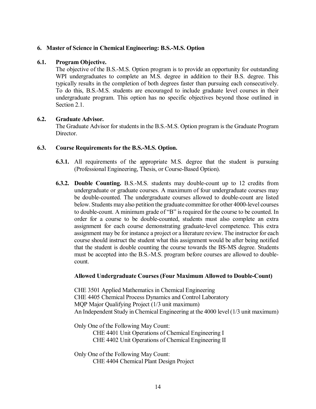#### <span id="page-13-0"></span>**6. Master of Science in Chemical Engineering: B.S.-M.S. Option**

#### <span id="page-13-1"></span>**6.1. Program Objective.**

The objective of the B.S.-M.S. Option program is to provide an opportunity for outstanding WPI undergraduates to complete an M.S. degree in addition to their B.S. degree. This typically results in the completion of both degrees faster than pursuing each consecutively. To do this, B.S.-M.S. students are encouraged to include graduate level courses in their undergraduate program. This option has no specific objectives beyond those outlined in Section 2.1.

#### <span id="page-13-2"></span>**6.2. Graduate Advisor.**

The Graduate Advisor for students in the B.S.-M.S. Option program is the Graduate Program Director.

#### <span id="page-13-3"></span>**6.3. Course Requirements for the B.S.-M.S. Option.**

- **6.3.1.** All requirements of the appropriate M.S. degree that the student is pursuing (Professional Engineering, Thesis, or Course-Based Option).
- **6.3.2. Double Counting.** B.S.-M.S. students may double-count up to 12 credits from undergraduate or graduate courses. A maximum of four undergraduate courses may be double-counted. The undergraduate courses allowed to double-count are listed below. Students may also petition the graduate committee for other 4000-level courses to double-count. A minimum grade of "B" is required for the course to be counted. In order for a course to be double-counted, students must also complete an extra assignment for each course demonstrating graduate-level competence. This extra assignment may be for instance a project or a literature review. The instructor for each course should instruct the student what this assignment would be after being notified that the student is double counting the course towards the BS-MS degree. Students must be accepted into the B.S.-M.S. program before courses are allowed to doublecount.

#### **Allowed Undergraduate Courses (Four Maximum Allowed to Double-Count)**

CHE 3501 Applied Mathematics in Chemical Engineering CHE 4405 Chemical Process Dynamics and Control Laboratory MQP Major Qualifying Project (1/3 unit maximum) An Independent Study in Chemical Engineering at the 4000 level (1/3 unit maximum)

Only One of the Following May Count:

CHE 4401 Unit Operations of Chemical Engineering I CHE 4402 Unit Operations of Chemical Engineering II

Only One of the Following May Count: CHE 4404 Chemical Plant Design Project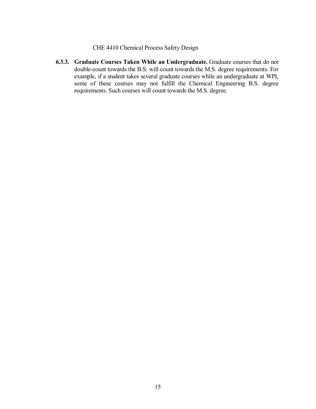#### CHE 4410 Chemical Process Safety Design

**6.3.3. Graduate Courses Taken While an Undergraduate.** Graduate courses that do not double-count towards the B.S. will count towards the M.S. degree requirements. For example, if a student takes several graduate courses while an undergraduate at WPI, some of these courses may not fulfill the Chemical Engineering B.S. degree requirements. Such courses will count towards the M.S. degree.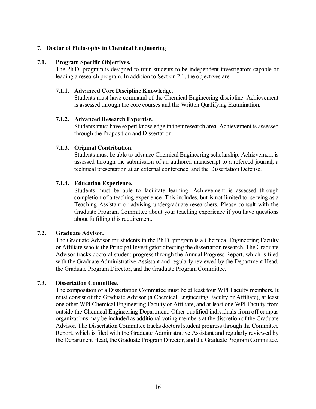#### <span id="page-15-0"></span>**7. Doctor of Philosophy in Chemical Engineering**

#### <span id="page-15-1"></span>**7.1. Program Specific Objectives.**

The Ph.D. program is designed to train students to be independent investigators capable of leading a research program. In addition to Section 2.1, the objectives are:

#### <span id="page-15-2"></span>**7.1.1. Advanced Core Discipline Knowledge.**

Students must have command of the Chemical Engineering discipline. Achievement is assessed through the core courses and the Written Qualifying Examination.

#### <span id="page-15-3"></span>**7.1.2. Advanced Research Expertise.**

Students must have expert knowledge in their research area. Achievement is assessed through the Proposition and Dissertation.

#### <span id="page-15-4"></span>**7.1.3. Original Contribution.**

Students must be able to advance Chemical Engineering scholarship. Achievement is assessed through the submission of an authored manuscript to a refereed journal, a technical presentation at an external conference, and the Dissertation Defense.

#### <span id="page-15-5"></span>**7.1.4. Education Experience.**

Students must be able to facilitate learning. Achievement is assessed through completion of a teaching experience. This includes, but is not limited to, serving as a Teaching Assistant or advising undergraduate researchers. Please consult with the Graduate Program Committee about your teaching experience if you have questions about fulfilling this requirement.

#### <span id="page-15-6"></span>**7.2. Graduate Advisor.**

The Graduate Advisor for students in the Ph.D. program is a Chemical Engineering Faculty or Affiliate who is the Principal Investigator directing the dissertation research. The Graduate Advisor tracks doctoral student progress through the Annual Progress Report, which is filed with the Graduate Administrative Assistant and regularly reviewed by the Department Head, the Graduate Program Director, and the Graduate Program Committee.

#### <span id="page-15-7"></span>**7.3. Dissertation Committee.**

The composition of a Dissertation Committee must be at least four WPI Faculty members. It must consist of the Graduate Advisor (a Chemical Engineering Faculty or Affiliate), at least one other WPI Chemical Engineering Faculty or Affiliate, and at least one WPI Faculty from outside the Chemical Engineering Department. Other qualified individuals from off campus organizations may be included as additional voting members at the discretion of the Graduate Advisor. The Dissertation Committee tracks doctoral student progress through the Committee Report, which is filed with the Graduate Administrative Assistant and regularly reviewed by the Department Head, the Graduate Program Director, and the Graduate Program Committee.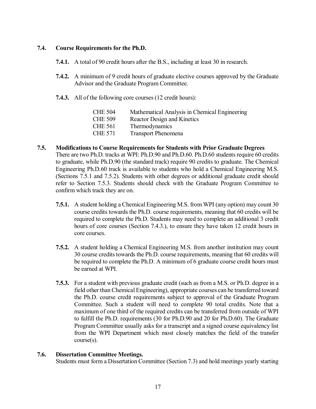#### <span id="page-16-0"></span>**7.4. Course Requirements for the Ph.D.**

- **7.4.1.** A total of 90 credit hours after the B.S., including at least 30 in research.
- **7.4.2.** A minimum of 9 credit hours of graduate elective courses approved by the Graduate Advisor and the Graduate Program Committee.
- **7.4.3.** All of the following core courses (12 credit hours):

| <b>CHE 504</b> | Mathematical Analysis in Chemical Engineering |
|----------------|-----------------------------------------------|
| <b>CHE 509</b> | Reactor Design and Kinetics                   |
| CHE 561        | Thermodynamics                                |
| CHE 571        | <b>Transport Phenomena</b>                    |

- <span id="page-16-1"></span>**7.5. Modifications to Course Requirements for Students with Prior Graduate Degrees** There are two Ph.D. tracks at WPI: Ph.D.90 and Ph.D.60. Ph.D.60 students require 60 credits to graduate, while Ph.D.90 (the standard track) require 90 credits to graduate. The Chemical Engineering Ph.D.60 track is available to students who hold a Chemical Engineering M.S. (Sections 7.5.1 and 7.5.2). Students with other degrees or additional graduate credit should refer to Section 7.5.3. Students should check with the Graduate Program Committee to confirm which track they are on.
	- **7.5.1.** A student holding a Chemical Engineering M.S. from WPI (any option) may count 30 course credits towards the Ph.D. course requirements, meaning that 60 credits will be required to complete the Ph.D. Students may need to complete an additional 3 credit hours of core courses (Section 7.4.3.), to ensure they have taken 12 credit hours in core courses.
	- **7.5.2.** A student holding a Chemical Engineering M.S. from another institution may count 30 course credits towards the Ph.D. course requirements, meaning that 60 credits will be required to complete the Ph.D. A minimum of 6 graduate course credit hours must be earned at WPI.
	- **7.5.3.** For a student with previous graduate credit (such as from a M.S. or Ph.D. degree in a field other than Chemical Engineering), appropriate courses can be transferred toward the Ph.D. course credit requirements subject to approval of the Graduate Program Committee. Such a student will need to complete 90 total credits. Note that a maximum of one third of the required credits can be transferred from outside of WPI to fulfill the Ph.D. requirements (30 for Ph.D.90 and 20 for Ph.D.60). The Graduate Program Committee usually asks for a transcript and a signed course equivalency list from the WPI Department which most closely matches the field of the transfer course(s).

#### <span id="page-16-2"></span>**7.6. Dissertation Committee Meetings.**

Students must form a Dissertation Committee (Section 7.3) and hold meetings yearly starting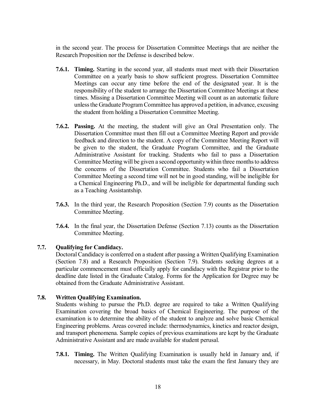in the second year. The process for Dissertation Committee Meetings that are neither the Research Proposition nor the Defense is described below.

- **7.6.1. Timing.** Starting in the second year, all students must meet with their Dissertation Committee on a yearly basis to show sufficient progress. Dissertation Committee Meetings can occur any time before the end of the designated year. It is the responsibility of the student to arrange the Dissertation Committee Meetings at these times. Missing a Dissertation Committee Meeting will count as an automatic failure unless the Graduate Program Committee has approved a petition, in advance, excusing the student from holding a Dissertation Committee Meeting.
- **7.6.2. Passing.** At the meeting, the student will give an Oral Presentation only. The Dissertation Committee must then fill out a Committee Meeting Report and provide feedback and direction to the student. A copy of the Committee Meeting Report will be given to the student, the Graduate Program Committee, and the Graduate Administrative Assistant for tracking. Students who fail to pass a Dissertation Committee Meeting will be given a second opportunity within three months to address the concerns of the Dissertation Committee. Students who fail a Dissertation Committee Meeting a second time will not be in good standing, will be ineligible for a Chemical Engineering Ph.D., and will be ineligible for departmental funding such as a Teaching Assistantship.
- **7.6.3.** In the third year, the Research Proposition (Section 7.9) counts as the Dissertation Committee Meeting.
- **7.6.4.** In the final year, the Dissertation Defense (Section 7.13) counts as the Dissertation Committee Meeting.

#### <span id="page-17-0"></span>**7.7. Qualifying for Candidacy.**

Doctoral Candidacy is conferred on a student after passing a Written Qualifying Examination (Section 7.8) and a Research Proposition (Section 7.9). Students seeking degrees at a particular commencement must officially apply for candidacy with the Registrar prior to the deadline date listed in the Graduate Catalog. Forms for the Application for Degree may be obtained from the Graduate Administrative Assistant.

#### <span id="page-17-1"></span>**7.8. Written Qualifying Examination.**

Students wishing to pursue the Ph.D. degree are required to take a Written Qualifying Examination covering the broad basics of Chemical Engineering. The purpose of the examination is to determine the ability of the student to analyze and solve basic Chemical Engineering problems. Areas covered include: thermodynamics, kinetics and reactor design, and transport phenomena. Sample copies of previous examinations are kept by the Graduate Administrative Assistant and are made available for student perusal.

**7.8.1. Timing.** The Written Qualifying Examination is usually held in January and, if necessary, in May. Doctoral students must take the exam the first January they are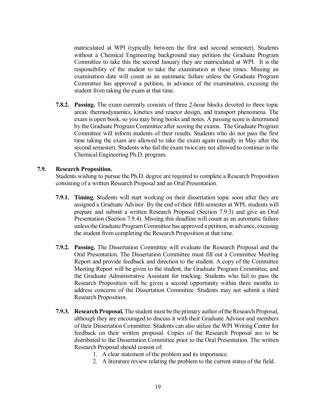matriculated at WPI (typically between the first and second semester). Students without a Chemical Engineering background may petition the Graduate Program Committee to take this the second January they are matriculated at WPI. It is the responsibility of the student to take the examination at these times. Missing an examination date will count as an automatic failure unless the Graduate Program Committee has approved a petition, in advance of the examination, excusing the student from taking the exam at that time.

**7.8.2. Passing.** The exam currently consists of three 2-hour blocks devoted to three topic areas: thermodynamics, kinetics and reactor design, and transport phenomena. The exam is open book, so you may bring books and notes. A passing score is determined by the Graduate Program Committee after scoring the exams. The Graduate Program Committee will inform students of their results. Students who do not pass the first time taking the exam are allowed to take the exam again (usually in May after the second semester). Students who fail the exam twice are not allowed to continue in the Chemical Engineering Ph.D. program.

#### <span id="page-18-0"></span>**7.9. Research Proposition.**

Students wishing to pursue the Ph.D. degree are required to complete a Research Proposition consisting of a written Research Proposal and an Oral Presentation.

- **7.9.1. Timing.** Students will start working on their dissertation topic soon after they are assigned a Graduate Advisor. By the end of their fifth semester at WPI, students will prepare and submit a written Research Proposal (Section 7.9.3) and give an Oral Presentation (Section 7.9.4). Missing this deadline will count as an automatic failure unless the Graduate Program Committee has approved a petition, in advance, excusing the student from completing the Research Proposition at that time.
- **7.9.2. Passing.** The Dissertation Committee will evaluate the Research Proposal and the Oral Presentation. The Dissertation Committee must fill out a Committee Meeting Report and provide feedback and direction to the student. A copy of the Committee Meeting Report will be given to the student, the Graduate Program Committee, and the Graduate Administrative Assistant for tracking. Students who fail to pass the Research Proposition will be given a second opportunity within three months to address concerns of the Dissertation Committee. Students may not submit a third Research Proposition.
- **7.9.3. Research Proposal.** The student must be the primary author of the Research Proposal, although they are encouraged to discuss it with their Graduate Advisor and members of their Dissertation Committee. Students can also utilize the WPI Writing Center for feedback on their written proposal. Copies of the Research Proposal are to be distributed to the Dissertation Committee prior to the Oral Presentation. The written Research Proposal should consist of:
	- 1. A clear statement of the problem and its importance.
	- 2. A literature review relating the problem to the current status of the field.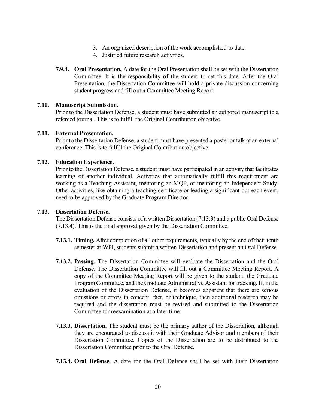- 3. An organized description of the work accomplished to date.
- 4. Justified future research activities.
- **7.9.4. Oral Presentation.** A date for the Oral Presentation shall be set with the Dissertation Committee. It is the responsibility of the student to set this date. After the Oral Presentation, the Dissertation Committee will hold a private discussion concerning student progress and fill out a Committee Meeting Report.

#### <span id="page-19-0"></span>**7.10. Manuscript Submission.**

Prior to the Dissertation Defense, a student must have submitted an authored manuscript to a refereed journal. This is to fulfill the Original Contribution objective.

#### <span id="page-19-1"></span>**7.11. External Presentation.**

Prior to the Dissertation Defense, a student must have presented a poster or talk at an external conference. This is to fulfill the Original Contribution objective.

#### <span id="page-19-2"></span>**7.12. Education Experience.**

Prior to the Dissertation Defense, a student must have participated in an activity that facilitates learning of another individual. Activities that automatically fulfill this requirement are working as a Teaching Assistant, mentoring an MQP, or mentoring an Independent Study. Other activities, like obtaining a teaching certificate or leading a significant outreach event, need to be approved by the Graduate Program Director.

#### <span id="page-19-3"></span>**7.13. Dissertation Defense.**

The Dissertation Defense consists of a written Dissertation (7.13.3) and a public Oral Defense (7.13.4). This is the final approval given by the Dissertation Committee.

- **7.13.1. Timing.** After completion of all other requirements, typically by the end of their tenth semester at WPI, students submit a written Dissertation and present an Oral Defense.
- **7.13.2. Passing.** The Dissertation Committee will evaluate the Dissertation and the Oral Defense. The Dissertation Committee will fill out a Committee Meeting Report. A copy of the Committee Meeting Report will be given to the student, the Graduate Program Committee, and the Graduate Administrative Assistant for tracking. If, in the evaluation of the Dissertation Defense, it becomes apparent that there are serious omissions or errors in concept, fact, or technique, then additional research may be required and the dissertation must be revised and submitted to the Dissertation Committee for reexamination at a later time.
- **7.13.3. Dissertation.** The student must be the primary author of the Dissertation, although they are encouraged to discuss it with their Graduate Advisor and members of their Dissertation Committee. Copies of the Dissertation are to be distributed to the Dissertation Committee prior to the Oral Defense.
- **7.13.4. Oral Defense.** A date for the Oral Defense shall be set with their Dissertation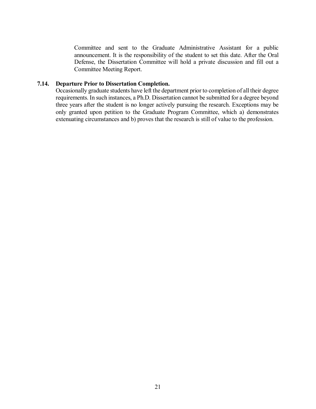Committee and sent to the Graduate Administrative Assistant for a public announcement. It is the responsibility of the student to set this date. After the Oral Defense, the Dissertation Committee will hold a private discussion and fill out a Committee Meeting Report.

#### <span id="page-20-0"></span>**7.14. Departure Prior to Dissertation Completion.**

Occasionally graduate students have left the department prior to completion of all their degree requirements. In such instances, a Ph.D. Dissertation cannot be submitted for a degree beyond three years after the student is no longer actively pursuing the research. Exceptions may be only granted upon petition to the Graduate Program Committee, which a) demonstrates extenuating circumstances and b) proves that the research is still of value to the profession.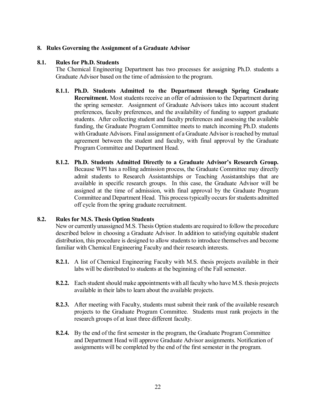#### <span id="page-21-0"></span>**8. Rules Governing the Assignment of a Graduate Advisor**

#### <span id="page-21-1"></span>**8.1. Rules for Ph.D. Students**

The Chemical Engineering Department has two processes for assigning Ph.D. students a Graduate Advisor based on the time of admission to the program.

- **8.1.1. Ph.D. Students Admitted to the Department through Spring Graduate Recruitment.** Most students receive an offer of admission to the Department during the spring semester. Assignment of Graduate Advisors takes into account student preferences, faculty preferences, and the availability of funding to support graduate students. After collecting student and faculty preferences and assessing the available funding, the Graduate Program Committee meets to match incoming Ph.D. students with Graduate Advisors. Final assignment of a Graduate Advisor is reached by mutual agreement between the student and faculty, with final approval by the Graduate Program Committee and Department Head.
- **8.1.2. Ph.D. Students Admitted Directly to a Graduate Advisor's Research Group.** Because WPI has a rolling admission process, the Graduate Committee may directly admit students to Research Assistantships or Teaching Assistantships that are available in specific research groups. In this case, the Graduate Advisor will be assigned at the time of admission, with final approval by the Graduate Program Committee and Department Head. This process typically occurs for students admitted off cycle from the spring graduate recruitment.

#### <span id="page-21-2"></span>**8.2. Rules for M.S. Thesis Option Students**

New or currently unassigned M.S. Thesis Option students are required to follow the procedure described below in choosing a Graduate Advisor. In addition to satisfying equitable student distribution, this procedure is designed to allow students to introduce themselves and become familiar with Chemical Engineering Faculty and their research interests.

- **8.2.1.** A list of Chemical Engineering Faculty with M.S. thesis projects available in their labs will be distributed to students at the beginning of the Fall semester.
- **8.2.2.** Each student should make appointments with all faculty who have M.S. thesis projects available in their labs to learn about the available projects.
- **8.2.3.** After meeting with Faculty, students must submit their rank of the available research projects to the Graduate Program Committee. Students must rank projects in the research groups of at least three different faculty.
- **8.2.4.** By the end of the first semester in the program, the Graduate Program Committee and Department Head will approve Graduate Advisor assignments. Notification of assignments will be completed by the end of the first semester in the program.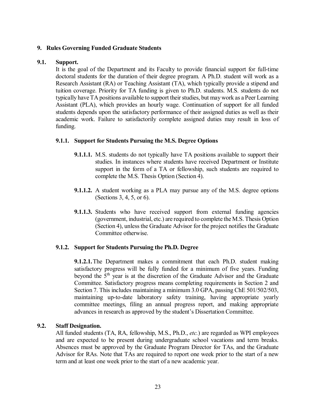#### <span id="page-22-0"></span>**9. Rules Governing Funded Graduate Students**

#### <span id="page-22-1"></span>**9.1. Support.**

It is the goal of the Department and its Faculty to provide financial support for full-time doctoral students for the duration of their degree program. A Ph.D. student will work as a Research Assistant (RA) or Teaching Assistant (TA), which typically provide a stipend and tuition coverage. Priority for TA funding is given to Ph.D. students. M.S. students do not typically have TA positions available to support their studies, but may work as a Peer Learning Assistant (PLA), which provides an hourly wage. Continuation of support for all funded students depends upon the satisfactory performance of their assigned duties as well as their academic work. Failure to satisfactorily complete assigned duties may result in loss of funding.

#### <span id="page-22-2"></span>**9.1.1. Support for Students Pursuing the M.S. Degree Options**

- **9.1.1.1.** M.S. students do not typically have TA positions available to support their studies. In instances where students have received Department or Institute support in the form of a TA or fellowship, such students are required to complete the M.S. Thesis Option (Section 4).
- **9.1.1.2.** A student working as a PLA may pursue any of the M.S. degree options (Sections 3, 4, 5, or 6).
- **9.1.1.3.** Students who have received support from external funding agencies (government, industrial, etc.) are required to complete the M.S. Thesis Option (Section 4), unless the Graduate Advisor for the project notifies the Graduate Committee otherwise.

#### <span id="page-22-3"></span>**9.1.2. Support for Students Pursuing the Ph.D. Degree**

**9.1.2.1.**The Department makes a commitment that each Ph.D. student making satisfactory progress will be fully funded for a minimum of five years. Funding beyond the  $5<sup>th</sup>$  year is at the discretion of the Graduate Advisor and the Graduate Committee. Satisfactory progress means completing requirements in Section 2 and Section 7. This includes maintaining a minimum 3.0 GPA, passing ChE 501/502/503, maintaining up-to-date laboratory safety training, having appropriate yearly committee meetings, filing an annual progress report, and making appropriate advances in research as approved by the student's Dissertation Committee.

#### <span id="page-22-4"></span>**9.2. Staff Designation.**

All funded students (TA, RA, fellowship, M.S., Ph.D., *etc.*) are regarded as WPI employees and are expected to be present during undergraduate school vacations and term breaks. Absences must be approved by the Graduate Program Director for TAs, and the Graduate Advisor for RAs. Note that TAs are required to report one week prior to the start of a new term and at least one week prior to the start of a new academic year.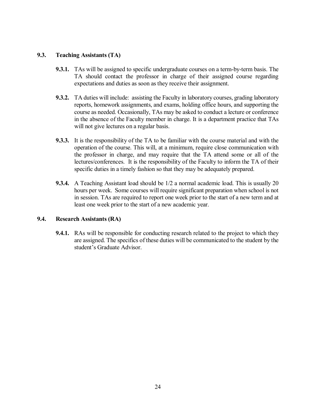#### <span id="page-23-0"></span>**9.3. Teaching Assistants (TA)**

- **9.3.1.** TAs will be assigned to specific undergraduate courses on a term-by-term basis. The TA should contact the professor in charge of their assigned course regarding expectations and duties as soon as they receive their assignment.
- **9.3.2.** TA duties will include: assisting the Faculty in laboratory courses, grading laboratory reports, homework assignments, and exams, holding office hours, and supporting the course as needed. Occasionally, TAs may be asked to conduct a lecture or conference in the absence of the Faculty member in charge. It is a department practice that TAs will not give lectures on a regular basis.
- **9.3.3.** It is the responsibility of the TA to be familiar with the course material and with the operation of the course. This will, at a minimum, require close communication with the professor in charge, and may require that the TA attend some or all of the lectures/conferences. It is the responsibility of the Faculty to inform the TA of their specific duties in a timely fashion so that they may be adequately prepared.
- **9.3.4.** A Teaching Assistant load should be 1/2 a normal academic load. This is usually 20 hours per week. Some courses will require significant preparation when school is not in session. TAs are required to report one week prior to the start of a new term and at least one week prior to the start of a new academic year.

#### <span id="page-23-1"></span>**9.4. Research Assistants (RA)**

**9.4.1.** RAs will be responsible for conducting research related to the project to which they are assigned. The specifics of these duties will be communicated to the student by the student's Graduate Advisor.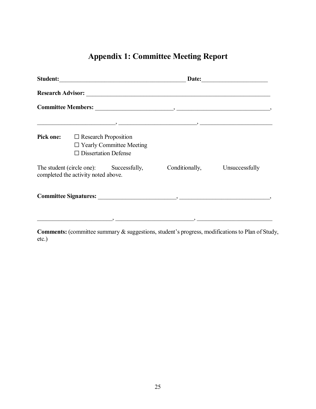# **Appendix 1: Committee Meeting Report**

<span id="page-24-0"></span>

| Student:                                                                       |                                                                                               | Date:          |                |  |
|--------------------------------------------------------------------------------|-----------------------------------------------------------------------------------------------|----------------|----------------|--|
|                                                                                |                                                                                               |                |                |  |
|                                                                                |                                                                                               |                |                |  |
|                                                                                |                                                                                               |                |                |  |
| <b>Pick one:</b>                                                               | $\Box$ Research Proposition<br>$\Box$ Yearly Committee Meeting<br>$\Box$ Dissertation Defense |                |                |  |
| The student (circle one): Successfully,<br>completed the activity noted above. |                                                                                               | Conditionally, | Unsuccessfully |  |
|                                                                                |                                                                                               |                |                |  |
|                                                                                |                                                                                               |                |                |  |

**Comments:** (committee summary & suggestions, student's progress, modifications to Plan of Study, etc.)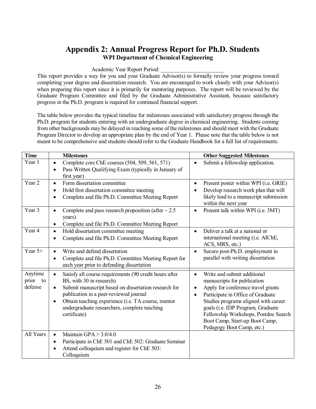## **Appendix 2: Annual Progress Report for Ph.D. Students WPI Department of Chemical Engineering**

Academic Year Report Period:

<span id="page-25-0"></span>This report provides a way for you and your Graduate Advisor(s) to formally review your progress toward completing your degree and dissertation research. You are encouraged to work closely with your Advisor(s) when preparing this report since it is primarily for mentoring purposes. The report will be reviewed by the Graduate Program Committee and filed by the Graduate Administrative Assistant, because satisfactory progress in the Ph.D. program is required for continued financial support.

The table below provides the typical timeline for milestones associated with satisfactory progress through the Ph.D. program for students entering with an undergraduate degree in chemical engineering. Students coming from other backgrounds may be delayed in reaching some of the milestones and should meet with the Graduate Program Director to develop an appropriate plan by the end of Year 1. Please note that the table below is not meant to be comprehensive and students should refer to the Graduate Handbook for a full list of requirements.

| <b>Time</b>                       | <b>Milestones</b>                                                                                                                                                                                                                                                                                                                                 | <b>Other Suggested Milestones</b>                                                                                                                                                                                                                                                                                         |
|-----------------------------------|---------------------------------------------------------------------------------------------------------------------------------------------------------------------------------------------------------------------------------------------------------------------------------------------------------------------------------------------------|---------------------------------------------------------------------------------------------------------------------------------------------------------------------------------------------------------------------------------------------------------------------------------------------------------------------------|
| Year 1                            | Complete core ChE courses (504, 509, 561, 571)<br>$\bullet$<br>Pass Written Qualifying Exam (typically in January of<br>$\bullet$<br>first year)                                                                                                                                                                                                  | Submit a fellowship application.                                                                                                                                                                                                                                                                                          |
| Year 2<br>Year 3                  | Form dissertation committee<br>$\bullet$<br>Hold first dissertation committee meeting<br>$\bullet$<br>Complete and file Ph.D. Committee Meeting Report<br>$\bullet$                                                                                                                                                                               | Present poster within WPI (i.e. GRIE)<br>Develop research work plan that will<br>likely lead to a manuscript submission<br>within the next year                                                                                                                                                                           |
|                                   | Complete and pass research proposition (after $\sim$ 2.5<br>$\bullet$<br>years)<br>Complete and file Ph.D. Committee Meeting Report<br>$\bullet$                                                                                                                                                                                                  | Present talk within WPI (i.e. 3MT)                                                                                                                                                                                                                                                                                        |
| Year 4                            | Hold dissertation committee meeting<br>$\bullet$<br>Complete and file Ph.D. Committee Meeting Report                                                                                                                                                                                                                                              | Deliver a talk at a national or<br>$\bullet$<br>international meeting (i.e. AIChE,<br>ACS, MRS, etc.)                                                                                                                                                                                                                     |
| Year 5+                           | Write and defend dissertation<br>$\bullet$<br>Complete and file Ph.D. Committee Meeting Report for<br>$\bullet$<br>each year prior to defending dissertation                                                                                                                                                                                      | Secure post-Ph.D. employment in<br>parallel with writing dissertation                                                                                                                                                                                                                                                     |
| Anytime<br>prior<br>to<br>defense | Satisfy all course requirements (90 credit hours after<br>$\bullet$<br>BS, with 30 in research)<br>Submit manuscript based on dissertation research for<br>$\bullet$<br>publication in a peer-reviewed journal<br>Obtain teaching experience (i.e. TA course, mentor<br>$\bullet$<br>undergraduate researchers, complete teaching<br>certificate) | Write and submit additional<br>manuscripts for publication<br>Apply for conference travel grants<br>Participate in Office of Graduate<br>Studies programs aligned with career<br>goals (i.e. IDP Program, Graduate<br>Fellowship Workshops, Postdoc Search<br>Boot Camp, Start-up Boot Camp,<br>Pedagogy Boot Camp, etc.) |
| All Years                         | Maintain GPA $> 3.0/4.0$<br>$\bullet$<br>Participate in ChE 501 and ChE 502: Graduate Seminar<br>$\bullet$<br>Attend colloquium and register for ChE 503:<br>$\bullet$<br>Colloquium                                                                                                                                                              |                                                                                                                                                                                                                                                                                                                           |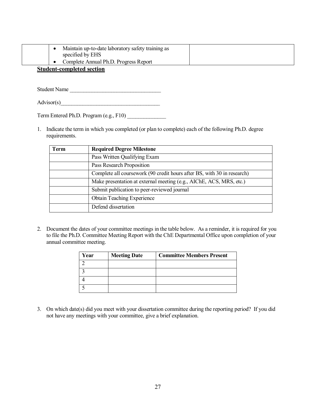|  | Maintain up-to-date laboratory safety training as<br>specified by EHS |  |
|--|-----------------------------------------------------------------------|--|
|  | Complete Annual Ph.D. Progress Report                                 |  |
|  |                                                                       |  |

#### **Student-completed section**

Student Name

 $\text{Advisor}(s)$ 

Term Entered Ph.D. Program (e.g., F10)

1. Indicate the term in which you completed (or plan to complete) each of the following Ph.D. degree requirements.

| Term | <b>Required Degree Milestone</b>                                        |
|------|-------------------------------------------------------------------------|
|      | Pass Written Qualifying Exam                                            |
|      | Pass Research Proposition                                               |
|      | Complete all coursework (90 credit hours after BS, with 30 in research) |
|      | Make presentation at external meeting (e.g., AIChE, ACS, MRS, etc.)     |
|      | Submit publication to peer-reviewed journal                             |
|      | <b>Obtain Teaching Experience</b>                                       |
|      | Defend dissertation                                                     |

2. Document the dates of your committee meetings in the table below. As a reminder, it is required for you to file the Ph.D. Committee Meeting Report with the ChE Departmental Office upon completion of your annual committee meeting.

| Year | <b>Meeting Date</b> | <b>Committee Members Present</b> |
|------|---------------------|----------------------------------|
|      |                     |                                  |
|      |                     |                                  |
|      |                     |                                  |
|      |                     |                                  |

3. On which date(s) did you meet with your dissertation committee during the reporting period? If you did not have any meetings with your committee, give a brief explanation.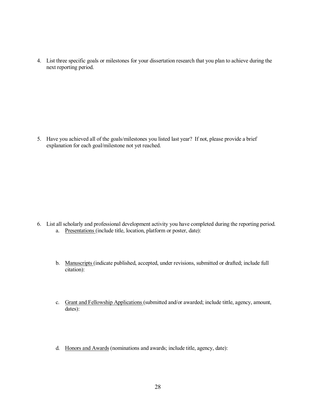4. List three specific goals or milestones for your dissertation research that you plan to achieve during the next reporting period.

5. Have you achieved all of the goals/milestones you listed last year? If not, please provide a brief explanation for each goal/milestone not yet reached.

- 6. List all scholarly and professional development activity you have completed during the reporting period. a. Presentations (include title, location, platform or poster, date):
	- b. Manuscripts (indicate published, accepted, under revisions, submitted or drafted; include full citation):
	- c. Grant and Fellowship Applications (submitted and/or awarded; include tittle, agency, amount, dates):
	- d. Honors and Awards (nominations and awards; include title, agency, date):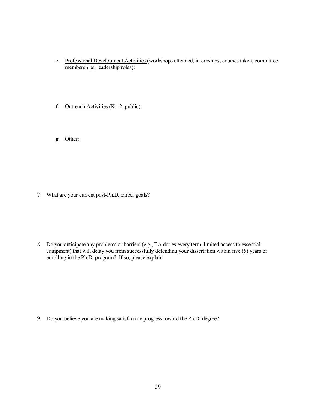- e. Professional Development Activities (workshops attended, internships, courses taken, committee memberships, leadership roles):
- f. Outreach Activities (K-12, public):
- g. Other:

7. What are your current post-Ph.D. career goals?

8. Do you anticipate any problems or barriers (e.g., TA duties every term, limited access to essential equipment) that will delay you from successfully defending your dissertation within five (5) years of enrolling in the Ph.D. program? If so, please explain.

9. Do you believe you are making satisfactory progress toward the Ph.D. degree?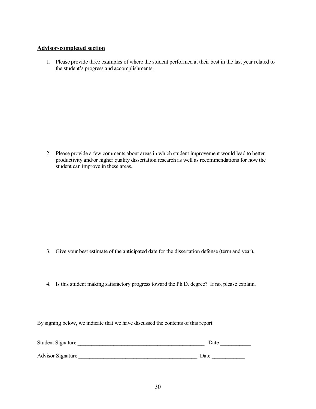#### **Advisor-completed section**

1. Please provide three examples of where the student performed at their best in the last year related to the student's progress and accomplishments.

2. Please provide a few comments about areas in which student improvement would lead to better productivity and/or higher quality dissertation research as well as recommendations for how the student can improve in these areas.

- 3. Give your best estimate of the anticipated date for the dissertation defense (term and year).
- 4. Is this student making satisfactory progress toward the Ph.D. degree? If no, please explain.

By signing below, we indicate that we have discussed the contents of this report.

| <b>Student Signature</b> | Date |
|--------------------------|------|
| Advisor Signature        | Date |